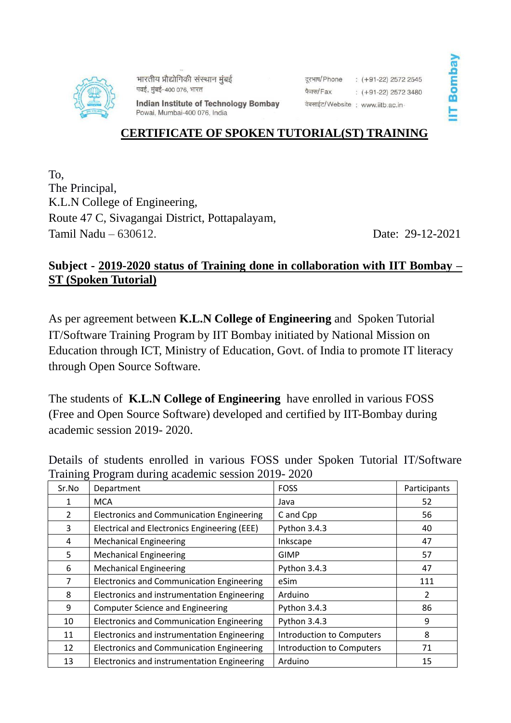

भारतीय प्रौद्योगिकी संस्थान मुंबई पवई, मुंबई-400 076, भारत

दरभाष/Phone  $\div$  (+91-22) 2572 2545 फैक्स/Fax  $( +91-22)$  2572 3480 वेबसाईट/Website: www.iitb.ac.in-

**Indian Institute of Technology Bombay** Powai, Mumbai-400 076, India

## **CERTIFICATE OF SPOKEN TUTORIAL(ST) TRAINING**

To, The Principal, K.L.N College of Engineering, Route 47 C, Sivagangai District, Pottapalayam, Tamil Nadu – 630612. Date: 29-12-2021

## **Subject - 2019-2020 status of Training done in collaboration with IIT Bombay – ST (Spoken Tutorial)**

As per agreement between **K.L.N College of Engineering** and Spoken Tutorial IT/Software Training Program by IIT Bombay initiated by National Mission on Education through ICT, Ministry of Education, Govt. of India to promote IT literacy through Open Source Software.

The students of **K.L.N College of Engineering** have enrolled in various FOSS (Free and Open Source Software) developed and certified by IIT-Bombay during academic session 2019- 2020.

Details of students enrolled in various FOSS under Spoken Tutorial IT/Software Training Program during academic session 2019- 2020

| ے<br>Sr.No     | Department                                       | <b>FOSS</b>               | Participants |
|----------------|--------------------------------------------------|---------------------------|--------------|
| 1              | <b>MCA</b>                                       | Java                      | 52           |
| $\overline{2}$ | <b>Electronics and Communication Engineering</b> | C and Cpp                 | 56           |
| 3              | Electrical and Electronics Engineering (EEE)     | Python 3.4.3              | 40           |
| 4              | <b>Mechanical Engineering</b>                    | Inkscape                  | 47           |
| 5              | <b>Mechanical Engineering</b>                    | <b>GIMP</b>               | 57           |
| 6              | <b>Mechanical Engineering</b>                    | Python 3.4.3              | 47           |
| 7              | <b>Electronics and Communication Engineering</b> | eSim                      | 111          |
| 8              | Electronics and instrumentation Engineering      | Arduino                   | 2            |
| 9              | <b>Computer Science and Engineering</b>          | Python 3.4.3              | 86           |
| 10             | <b>Electronics and Communication Engineering</b> | Python 3.4.3              | 9            |
| 11             | Electronics and instrumentation Engineering      | Introduction to Computers | 8            |
| 12             | <b>Electronics and Communication Engineering</b> | Introduction to Computers | 71           |
| 13             | Electronics and instrumentation Engineering      | Arduino                   | 15           |